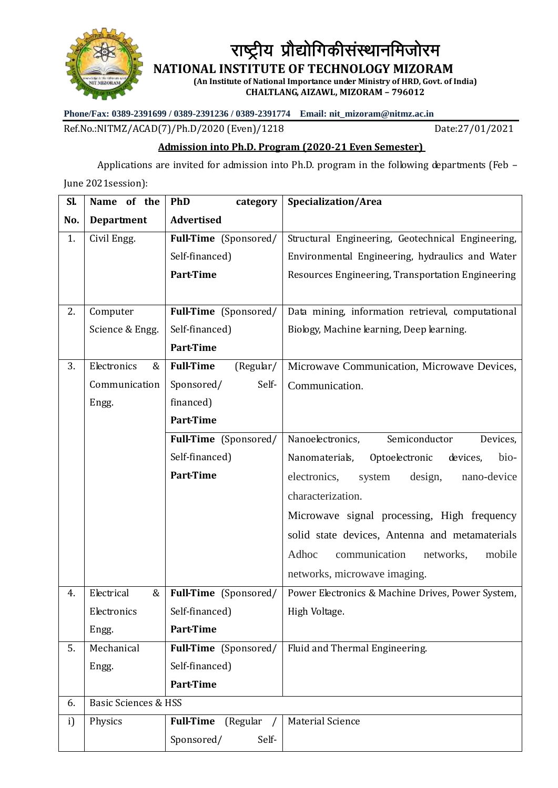

# राष्ट्रीय प्रौद्योगिकीसंस्थानमिजोरम

**NATIONAL INSTITUTE OF TECHNOLOGY MIZORAM (An Institute of National Importance under Ministry of HRD, Govt. of India)**

**CHALTLANG, AIZAWL, MIZORAM – 796012**

**Phone/Fax: 0389-2391699 / 0389-2391236 / 0389-2391774 Email: nit\_mizoram@nitmz.ac.in**

Ref.No.:NITMZ/ACAD(7)/Ph.D/2020 (Even)/1218 Date:27/01/2021

## **Admission into Ph.D. Program (2020-21 Even Semester)**

Applications are invited for admission into Ph.D. program in the following departments (Feb –

June 2021session):

| Sl. | Name of the                     | <b>PhD</b><br>category         | Specialization/Area                                  |
|-----|---------------------------------|--------------------------------|------------------------------------------------------|
| No. | <b>Department</b>               | <b>Advertised</b>              |                                                      |
| 1.  | Civil Engg.                     | Full-Time (Sponsored/          | Structural Engineering, Geotechnical Engineering,    |
|     |                                 | Self-financed)                 | Environmental Engineering, hydraulics and Water      |
|     |                                 | Part-Time                      | Resources Engineering, Transportation Engineering    |
|     |                                 |                                |                                                      |
| 2.  | Computer                        | Full-Time (Sponsored/          | Data mining, information retrieval, computational    |
|     | Science & Engg.                 | Self-financed)                 | Biology, Machine learning, Deep learning.            |
|     |                                 | Part-Time                      |                                                      |
| 3.  | Electronics<br>&                | <b>Full-Time</b><br>(Regular/  | Microwave Communication, Microwave Devices,          |
|     | Communication                   | Sponsored/<br>Self-            | Communication.                                       |
|     | Engg.                           | financed)                      |                                                      |
|     |                                 | Part-Time                      |                                                      |
|     |                                 | Full-Time (Sponsored/          | Semiconductor<br>Nanoelectronics,<br>Devices,        |
|     |                                 | Self-financed)                 | Optoelectronic<br>bio-<br>Nanomaterials,<br>devices, |
|     |                                 | Part-Time                      | electronics,<br>design,<br>system<br>nano-device     |
|     |                                 |                                | characterization.                                    |
|     |                                 |                                | Microwave signal processing, High frequency          |
|     |                                 |                                | solid state devices, Antenna and metamaterials       |
|     |                                 |                                | Adhoc<br>communication<br>networks,<br>mobile        |
|     |                                 |                                | networks, microwave imaging.                         |
| 4.  | Electrical<br>&                 | Full-Time (Sponsored/          | Power Electronics & Machine Drives, Power System,    |
|     | Electronics                     | Self-financed)                 | High Voltage.                                        |
|     | Engg.                           | Part-Time                      |                                                      |
| 5.  | Mechanical                      | Full-Time (Sponsored/          | Fluid and Thermal Engineering.                       |
|     | Engg.                           | Self-financed)                 |                                                      |
|     |                                 | Part-Time                      |                                                      |
| 6.  | <b>Basic Sciences &amp; HSS</b> |                                |                                                      |
| i)  | Physics                         | <b>Full-Time</b><br>(Regular / | <b>Material Science</b>                              |
|     |                                 | Sponsored/<br>Self-            |                                                      |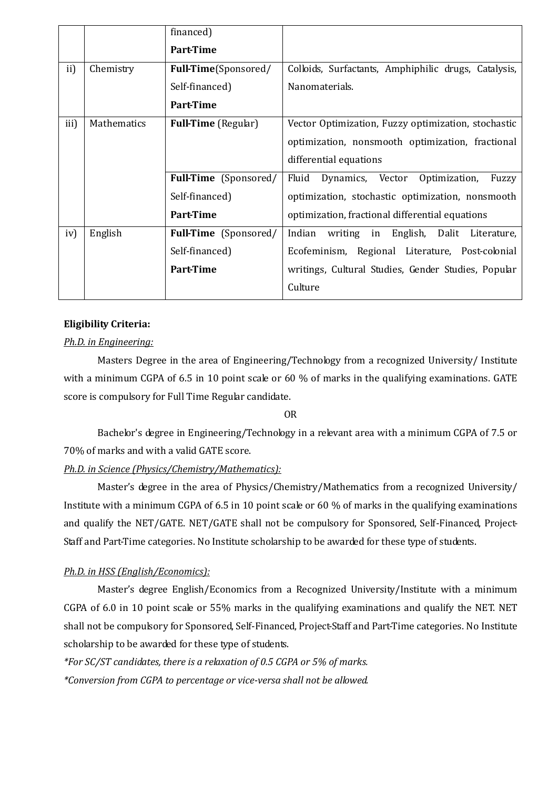|      |             | financed)                    |                                                             |
|------|-------------|------------------------------|-------------------------------------------------------------|
|      |             | <b>Part-Time</b>             |                                                             |
| ii)  | Chemistry   | <b>Full-Time</b> (Sponsored/ | Colloids, Surfactants, Amphiphilic drugs, Catalysis,        |
|      |             | Self-financed)               | Nanomaterials.                                              |
|      |             | <b>Part-Time</b>             |                                                             |
| iii) | Mathematics | Full-Time (Regular)          | Vector Optimization, Fuzzy optimization, stochastic         |
|      |             |                              | optimization, nonsmooth optimization, fractional            |
|      |             |                              | differential equations                                      |
|      |             | <b>Full-Time</b> (Sponsored/ | Fluid<br>Dynamics, Vector<br>Optimization,<br>Fuzzy         |
|      |             | Self-financed)               | optimization, stochastic optimization, nonsmooth            |
|      |             | <b>Part-Time</b>             | optimization, fractional differential equations             |
| iv)  | English     | Full-Time (Sponsored/        | Indian<br>writing<br>English,<br>Dalit<br>in<br>Literature, |
|      |             | Self-financed)               | Ecofeminism, Regional Literature, Post-colonial             |
|      |             | Part-Time                    | writings, Cultural Studies, Gender Studies, Popular         |
|      |             |                              | Culture                                                     |

#### **Eligibility Criteria:**

#### *Ph.D. in Engineering:*

Masters Degree in the area of Engineering/Technology from a recognized University/ Institute with a minimum CGPA of 6.5 in 10 point scale or 60 % of marks in the qualifying examinations. GATE score is compulsory for Full Time Regular candidate.

#### OR

Bachelor's degree in Engineering/Technology in a relevant area with a minimum CGPA of 7.5 or 70% of marks and with a valid GATE score.

## *Ph.D. in Science (Physics/Chemistry/Mathematics):*

Master's degree in the area of Physics/Chemistry/Mathematics from a recognized University/ Institute with a minimum CGPA of 6.5 in 10 point scale or 60 % of marks in the qualifying examinations and qualify the NET/GATE. NET/GATE shall not be compulsory for Sponsored, Self-Financed, Project-Staff and Part-Time categories. No Institute scholarship to be awarded for these type of students.

#### *Ph.D. in HSS (English/Economics):*

Master's degree English/Economics from a Recognized University/Institute with a minimum CGPA of 6.0 in 10 point scale or 55% marks in the qualifying examinations and qualify the NET. NET shall not be compulsory for Sponsored, Self-Financed, Project-Staff and Part-Time categories. No Institute scholarship to be awarded for these type of students.

*\*For SC/ST candidates, there is a relaxation of 0.5 CGPA or 5% of marks.*

*\*Conversion from CGPA to percentage or vice-versa shall not be allowed.*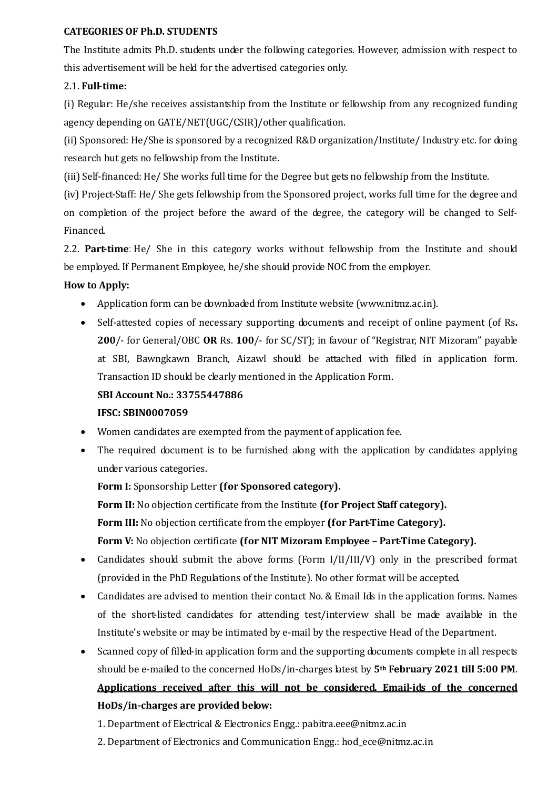#### **CATEGORIES OF Ph.D. STUDENTS**

The Institute admits Ph.D. students under the following categories. However, admission with respect to this advertisement will be held for the advertised categories only.

## 2.1. **Full-time:**

(i) Regular: He/she receives assistantship from the Institute or fellowship from any recognized funding agency depending on GATE/NET(UGC/CSIR)/other qualification.

(ii) Sponsored: He/She is sponsored by a recognized R&D organization/Institute/ Industry etc. for doing research but gets no fellowship from the Institute.

(iii) Self-financed: He/ She works full time for the Degree but gets no fellowship from the Institute.

(iv) Project-Staff: He/ She gets fellowship from the Sponsored project, works full time for the degree and on completion of the project before the award of the degree, the category will be changed to Self-Financed.

2.2. **Part-time**: He/ She in this category works without fellowship from the Institute and should be employed. If Permanent Employee, he/she should provide NOC from the employer.

## **How to Apply:**

- Application form can be downloaded from Institute website (www.nitmz.ac.in).
- Self-attested copies of necessary supporting documents and receipt of online payment (of Rs**. 200**/- for General/OBC **OR** Rs. **100**/- for SC/ST); in favour of "Registrar, NIT Mizoram" payable at SBI, Bawngkawn Branch, Aizawl should be attached with filled in application form. Transaction ID should be clearly mentioned in the Application Form.

## **SBI Account No.: 33755447886**

## **IFSC: SBIN0007059**

- Women candidates are exempted from the payment of application fee.
- The required document is to be furnished along with the application by candidates applying under various categories.

**Form I:** Sponsorship Letter **(for Sponsored category).**

**Form II:** No objection certificate from the Institute **(for Project Staff category).**

**Form III:** No objection certificate from the employer **(for Part-Time Category).**

**Form V:** No objection certificate **(for NIT Mizoram Employee – Part-Time Category).**

- Candidates should submit the above forms (Form I/II/III/V) only in the prescribed format (provided in the PhD Regulations of the Institute). No other format will be accepted.
- Candidates are advised to mention their contact No. & Email Ids in the application forms. Names of the short-listed candidates for attending test/interview shall be made available in the Institute's website or may be intimated by e-mail by the respective Head of the Department.
- Scanned copy of filled-in application form and the supporting documents complete in all respects should be e-mailed to the concerned HoDs/in-charges latest by **5th February 2021 till 5:00 PM**. **Applications received after this will not be considered. Email-ids of the concerned HoDs/in-charges are provided below:**
	- 1. Department of Electrical & Electronics Engg.: pabitra.eee@nitmz.ac.in
	- 2. Department of Electronics and Communication Engg.: hod\_ece@nitmz.ac.in